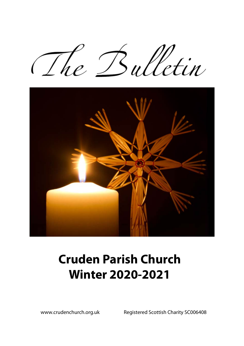The Bulletin



# **Cruden Parish Church Winter 2020-2021**

www.crudenchurch.org.uk Registered Scottish Charity SC006408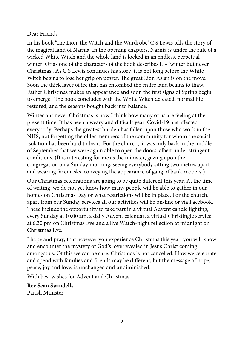#### Dear Friends

In his book 'The Lion, the Witch and the Wardrobe' C S Lewis tells the story of the magical land of Narnia. In the opening chapters, Narnia is under the rule of a wicked White Witch and the whole land is locked in an endless, perpetual winter. Or as one of the characters of the book describes it – 'winter but never Christmas'. As C S Lewis continues his story, it is not long before the White Witch begins to lose her grip on power. The great Lion Aslan is on the move. Soon the thick layer of ice that has entombed the entire land begins to thaw. Father Christmas makes an appearance and soon the first signs of Spring begin to emerge. The book concludes with the White Witch defeated, normal life restored, and the seasons bought back into balance.

Winter but never Christmas is how I think how many of us are feeling at the present time. It has been a weary and difficult year. Covid-19 has affected everybody. Perhaps the greatest burden has fallen upon those who work in the NHS, not forgetting the older members of the community for whom the social isolation has been hard to bear. For the church, it was only back in the middle of September that we were again able to open the doors, albeit under stringent conditions. (It is interesting for me as the minister, gazing upon the congregation on a Sunday morning, seeing everybody sitting two metres apart and wearing facemasks, conveying the appearance of gang of bank robbers!)

Our Christmas celebrations are going to be quite different this year. At the time of writing, we do not yet know how many people will be able to gather in our homes on Christmas Day or what restrictions will be in place. For the church, apart from our Sunday services all our activities will be on-line or via Facebook. These include the opportunity to take part in a virtual Advent candle lighting, every Sunday at 10.00 am, a daily Advent calendar, a virtual Christingle service at 6.30 pm on Christmas Eve and a live Watch-night reflection at midnight on Christmas Eve.

I hope and pray, that however you experience Christmas this year, you will know and encounter the mystery of God's love revealed in Jesus Christ coming amongst us. Of this we can be sure. Christmas is not cancelled. How we celebrate and spend with families and friends may be different, but the message of hope, peace, joy and love, is unchanged and undiminished.

With best wishes for Advent and Christmas.

**Rev Sean Swindells** Parish Minister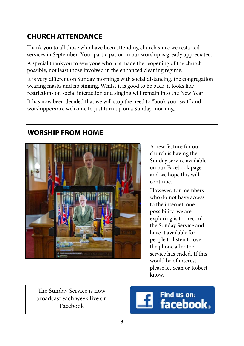## **CHURCH ATTENDANCE**

Thank you to all those who have been attending church since we restarted services in September. Your participation in our worship is greatly appreciated.

A special thankyou to everyone who has made the reopening of the church possible, not least those involved in the enhanced cleaning regime.

It is very different on Sunday mornings with social distancing, the congregation wearing masks and no singing. Whilst it is good to be back, it looks like restrictions on social interaction and singing will remain into the New Year.

It has now been decided that we will stop the need to "book your seat" and worshippers are welcome to just turn up on a Sunday morning.

## **WORSHIP FROM HOME**



A new feature for our church is having the Sunday service available on our Facebook page and we hope this will continue.

However, for members who do not have access to the internet, one possibility we are exploring is to record the Sunday Service and have it available for people to listen to over the phone after the service has ended. If this would be of interest, please let Sean or Robert know.

The Sunday Service is now broadcast each week live on Facebook

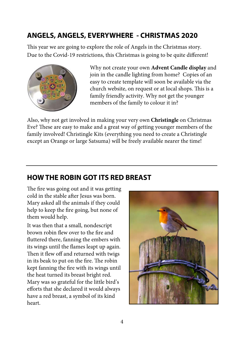## **ANGELS, ANGELS, EVERYWHERE - CHRISTMAS 2020**

This year we are going to explore the role of Angels in the Christmas story. Due to the Covid-19 restrictions, this Christmas is going to be quite different!



Why not create your own **Advent Candle display** and join in the candle lighting from home? Copies of an easy to create template will soon be available via the church website, on request or at local shops. This is a family friendly activity. Why not get the younger members of the family to colour it in?

Also, why not get involved in making your very own **Christingle** on Christmas Eve? These are easy to make and a great way of getting younger members of the family involved! Christingle Kits (everything you need to create a Christingle except an Orange or large Satsuma) will be freely available nearer the time!

### **HOW THE ROBIN GOT ITS RED BREAST**

The fire was going out and it was getting cold in the stable after Jesus was born. Mary asked all the animals if they could help to keep the fire going, but none of them would help.

It was then that a small, nondescript brown robin flew over to the fire and fluttered there, fanning the embers with its wings until the flames leapt up again. Then it flew off and returned with twigs in its beak to put on the fire. The robin kept fanning the fire with its wings until the heat turned its breast bright red. Mary was so grateful for the little bird's efforts that she declared it would always have a red breast, a symbol of its kind heart.

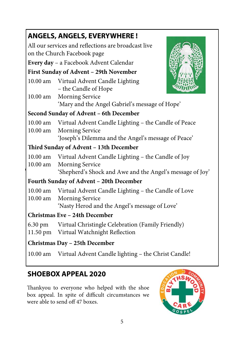| <b>ANGELS, ANGELS, EVERYWHERE!</b>                                                 |                                                                                                                                                    |  |  |  |
|------------------------------------------------------------------------------------|----------------------------------------------------------------------------------------------------------------------------------------------------|--|--|--|
| All our services and reflections are broadcast live<br>on the Church Facebook page |                                                                                                                                                    |  |  |  |
|                                                                                    | Every day - a Facebook Advent Calendar                                                                                                             |  |  |  |
| First Sunday of Advent - 29th November                                             |                                                                                                                                                    |  |  |  |
|                                                                                    | 10.00 am Virtual Advent Candle Lighting<br>– the Candle of Hope                                                                                    |  |  |  |
| $10.00$ am                                                                         | <b>Morning Service</b><br>'Mary and the Angel Gabriel's message of Hope'                                                                           |  |  |  |
| Second Sunday of Advent - 6th December                                             |                                                                                                                                                    |  |  |  |
| $10.00$ am<br>$10.00$ am                                                           | Virtual Advent Candle Lighting - the Candle of Peace<br><b>Morning Service</b><br>'Joseph's Dilemma and the Angel's message of Peace'              |  |  |  |
| Third Sunday of Advent - 13th December                                             |                                                                                                                                                    |  |  |  |
| $10.00$ am                                                                         | 10.00 am Virtual Advent Candle Lighting - the Candle of Joy<br><b>Morning Service</b><br>'Shepherd's Shock and Awe and the Angel's message of Joy' |  |  |  |
| Fourth Sunday of Advent - 20th December                                            |                                                                                                                                                    |  |  |  |
| $10.00$ am                                                                         | 10.00 am Virtual Advent Candle Lighting - the Candle of Love<br><b>Morning Service</b><br>'Nasty Herod and the Angel's message of Love'            |  |  |  |
| Christmas Eve - 24th December                                                      |                                                                                                                                                    |  |  |  |
| 6.30 pm<br>11.50 pm                                                                | Virtual Christingle Celebration (Family Friendly)<br>Virtual Watchnight Reflection                                                                 |  |  |  |
| Christmas Day - 25th December                                                      |                                                                                                                                                    |  |  |  |
|                                                                                    | 10.00 am Virtual Advent Candle lighting - the Christ Candle!                                                                                       |  |  |  |

## **SHOEBOX APPEAL 2020**

Thankyou to everyone who helped with the shoe box appeal. In spite of difficult circumstances we were able to send off 47 boxes.

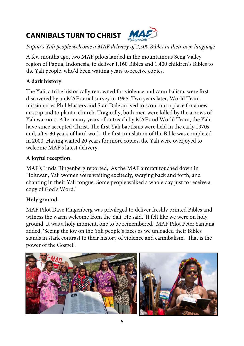# **CANNIBALS TURN TO CHRIST**



*Papua's Yali people welcome a MAF delivery of 2,500 Bibles in their own language* 

A few months ago, two MAF pilots landed in the mountainous Seng Valley region of Papua, Indonesia, to deliver 1,160 Bibles and 1,400 children's Bibles to the Yali people, who'd been waiting years to receive copies.

#### **A dark history**

The Yali, a tribe historically renowned for violence and cannibalism, were first discovered by an MAF aerial survey in 1965. Two years later, World Team missionaries Phil Masters and Stan Dale arrived to scout out a place for a new airstrip and to plant a church. Tragically, both men were killed by the arrows of Yali warriors. After many years of outreach by MAF and World Team, the Yali have since accepted Christ. The first Yali baptisms were held in the early 1970s and, after 30 years of hard work, the first translation of the Bible was completed in 2000. Having waited 20 years for more copies, the Yali were overjoyed to welcome MAF's latest delivery.

#### **A joyful reception**

MAF's Linda Ringenberg reported, 'As the MAF aircraft touched down in Holuwan, Yali women were waiting excitedly, swaying back and forth, and chanting in their Yali tongue. Some people walked a whole day just to receive a copy of God's Word.'

#### **Holy ground**

MAF Pilot Dave Ringenberg was privileged to deliver freshly printed Bibles and witness the warm welcome from the Yali. He said, 'It felt like we were on holy ground. It was a holy moment, one to be remembered.' MAF Pilot Peter Santana added, 'Seeing the joy on the Yali people's faces as we unloaded their Bibles stands in stark contrast to their history of violence and cannibalism. That is the power of the Gospel'.

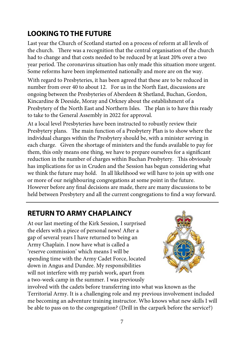## **LOOKING TO THE FUTURE**

Last year the Church of Scotland started on a process of reform at all levels of the church. There was a recognition that the central organisation of the church had to change and that costs needed to be reduced by at least 20% over a two year period. The coronavirus situation has only made this situation more urgent. Some reforms have been implemented nationally and more are on the way.

With regard to Presbyteries, it has been agreed that these are to be reduced in number from over 40 to about 12. For us in the North East, discussions are ongoing between the Presbyteries of Aberdeen & Shetland, Buchan, Gordon, Kincardine & Deeside, Moray and Orkney about the establishment of a Presbytery of the North East and Northern Isles. The plan is to have this ready to take to the General Assembly in 2022 for approval.

At a local level Presbyteries have been instructed to robustly review their Presbytery plans. The main function of a Presbytery Plan is to show where the individual charges within the Presbytery should be, with a minister serving in each charge. Given the shortage of ministers and the funds available to pay for them, this only means one thing, we have to prepare ourselves for a significant reduction in the number of charges within Buchan Presbytery. This obviously has implications for us in Cruden and the Session has begun considering what we think the future may hold. In all likelihood we will have to join up with one or more of our neighbouring congregations at some point in the future. However before any final decisions are made, there are many discussions to be held between Presbytery and all the current congregations to find a way forward.

## **RETURN TO ARMY CHAPLAINCY**

At our last meeting of the Kirk Session, I surprised the elders with a piece of personal news! After a gap of several years I have returned to being an Army Chaplain. I now have what is called a 'reserve commission' which means I will be spending time with the Army Cadet Force, located down in Angus and Dundee. My responsibilities will not interfere with my parish work, apart from a two-week camp in the summer. I was previously



involved with the cadets before transferring into what was known as the Territorial Army. It is a challenging role and my previous involvement included me becoming an adventure training instructor. Who knows what new skills I will be able to pass on to the congregation? (Drill in the carpark before the service?)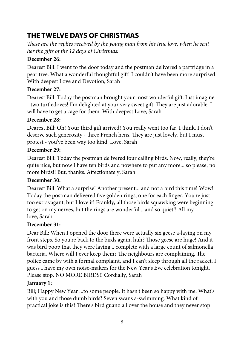## **THE TWELVE DAYS OF CHRISTMAS**

*These are the replies received by the young man from his true love, when he sent her the gifts of the 12 days of Christmas:* 

#### **December 26:**

Dearest Bill: I went to the door today and the postman delivered a partridge in a pear tree. What a wonderful thoughtful gift! I couldn't have been more surprised. With deepest Love and Devotion, Sarah

#### **December 27:**

Dearest Bill: Today the postman brought your most wonderful gift. Just imagine - two turtledoves! I'm delighted at your very sweet gift. They are just adorable. I will have to get a cage for them. With deepest Love, Sarah

#### **December 28:**

Dearest Bill: Oh! Your third gift arrived! You really went too far, I think. I don't deserve such generosity - three French hens. They are just lovely, but I must protest - you've been way too kind. Love, Sarah

#### **December 29:**

Dearest Bill: Today the postman delivered four calling birds. Now, really, they're quite nice, but now I have ten birds and nowhere to put any more... so please, no more birds!! But, thanks. Affectionately, Sarah

#### **December 30:**

Dearest Bill: What a surprise! Another present... and not a bird this time! Wow! Today the postman delivered five golden rings, one for each finger. You're just too extravagant, but I love it! Frankly, all those birds squawking were beginning to get on my nerves, but the rings are wonderful ...and so quiet!! All my love, Sarah

#### **December 31:**

Dear Bill: When I opened the door there were actually six geese a-laying on my front steps. So you're back to the birds again, huh? Those geese are huge! And it was bird poop that they were laying... complete with a large count of salmonella bacteria. Where will I ever keep them? The neighbours are complaining. The police came by with a formal complaint, and I can't sleep through all the racket. I guess I have my own noise-makers for the New Year's Eve celebration tonight. Please stop. NO MORE BIRDS!! Cordially, Sarah

#### **January 1:**

Bill; Happy New Year ...to some people. It hasn't been so happy with me. What's with you and those dumb birds? Seven swans a-swimming. What kind of practical joke is this? There's bird guano all over the house and they never stop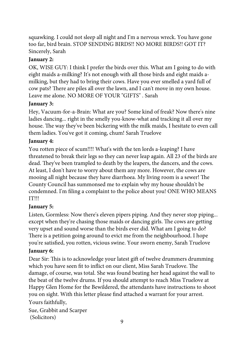squawking. I could not sleep all night and I'm a nervous wreck. You have gone too far, bird brain. STOP SENDING BIRDS!! NO MORE BIRDS!! GOT IT? Sincerely, Sarah

#### **January 2:**

OK, WISE GUY: I think I prefer the birds over this. What am I going to do with eight maids a-milking? It's not enough with all those birds and eight maids amilking, but they had to bring their cows. Have you ever smelled a yard full of cow pats? There are piles all over the lawn, and I can't move in my own house. Leave me alone. NO MORE OF YOUR "GIFTS" . Sarah

#### **January 3:**

Hey, Vacuum-for-a-Brain: What are you? Some kind of freak? Now there's nine ladies dancing... right in the smelly you-know-what and tracking it all over my house. The way they've been bickering with the milk maids, I hesitate to even call them ladies. You've got it coming, chum! Sarah Truelove

#### **January 4:**

You rotten piece of scum!!!! What's with the ten lords a-leaping? I have threatened to break their legs so they can never leap again. All 23 of the birds are dead. They've been trampled to death by the leapers, the dancers, and the cows. At least, I don't have to worry about them any more. However, the cows are mooing all night because they have diarrhoea. My living room is a sewer! The County Council has summonsed me to explain why my house shouldn't be condemned. I'm filing a complaint to the police about you! ONE WHO MEANS IT!!!

#### **January 5:**

Listen, Gormless: Now there's eleven pipers piping. And they never stop piping... except when they're chasing those maids or dancing girls. The cows are getting very upset and sound worse than the birds ever did. What am I going to do? There is a petition going around to evict me from the neighbourhood. I hope you're satisfied, you rotten, vicious swine. Your sworn enemy, Sarah Truelove

#### **January 6:**

Dear Sir: This is to acknowledge your latest gift of twelve drummers drumming which you have seen fit to inflict on our client, Miss Sarah Truelove. The damage, of course, was total. She was found beating her head against the wall to the beat of the twelve drums. If you should attempt to reach Miss Truelove at Happy Glen Home for the Bewildered, the attendants have instructions to shoot you on sight. With this letter please find attached a warrant for your arrest. Yours faithfully,

Sue, Grabbit and Scarper (Solicitors)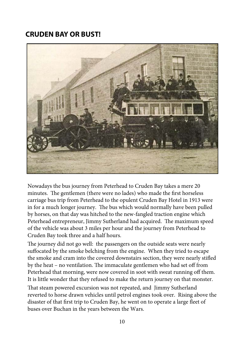### **CRUDEN BAY OR BUST!**



Nowadays the bus journey from Peterhead to Cruden Bay takes a mere 20 minutes. The gentlemen (there were no lades) who made the first horseless carriage bus trip from Peterhead to the opulent Cruden Bay Hotel in 1913 were in for a much longer journey. The bus which would normally have been pulled by horses, on that day was hitched to the new-fangled traction engine which Peterhead entrepreneur, Jimmy Sutherland had acquired. The maximum speed of the vehicle was about 3 miles per hour and the journey from Peterhead to Cruden Bay took three and a half hours.

The journey did not go well: the passengers on the outside seats were nearly suffocated by the smoke belching from the engine. When they tried to escape the smoke and cram into the covered downstairs section, they were nearly stifled by the heat – no ventilation. The immaculate gentlemen who had set off from Peterhead that morning, were now covered in soot with sweat running off them. It is little wonder that they refused to make the return journey on that monster.

That steam powered excursion was not repeated, and Jimmy Sutherland reverted to horse drawn vehicles until petrol engines took over. Rising above the disaster of that first trip to Cruden Bay, he went on to operate a large fleet of buses over Buchan in the years between the Wars.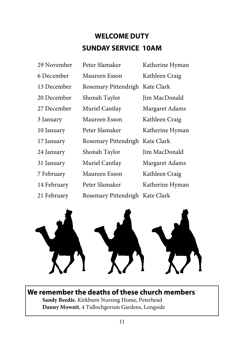# **WELCOME DUTY SUNDAY SERVICE 10AM**

| 29 November | Peter Slamaker                  | Katherine Hyman |
|-------------|---------------------------------|-----------------|
| 6 December  | Maureen Esson                   | Kathleen Craig  |
| 13 December | Rosemary Pittendrigh            | Kate Clark      |
| 20 December | Shonah Taylor                   | Jim MacDonald   |
| 27 December | Muriel Cantlay                  | Margaret Adams  |
| 3 January   | Maureen Esson                   | Kathleen Craig  |
| 10 January  | Peter Slamaker                  | Katherine Hyman |
| 17 January  | Rosemary Pittendrigh            | Kate Clark      |
| 24 January  | Shonah Taylor                   | Jim MacDonald   |
| 31 January  | Muriel Cantlay                  | Margaret Adams  |
| 7 February  | Maureen Esson                   | Kathleen Craig  |
| 14 February | Peter Slamaker                  | Katherine Hyman |
| 21 February | Rosemary Pittendrigh Kate Clark |                 |



**We remember the deaths of these church members Sandy Beedie**, Kirkburn Nursing Home, Peterhead  **Danny Mowatt**, 4 Tullochgorum Gardens, Longside